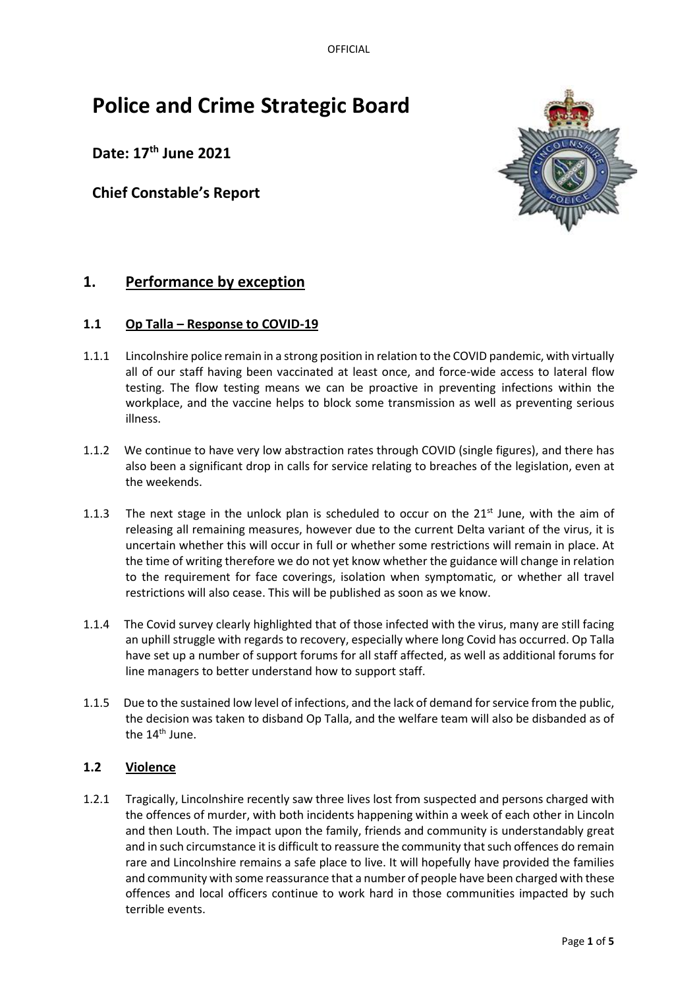OFFICIAL

# **Police and Crime Strategic Board**

**Date: 17th June 2021**

## **Chief Constable's Report**



# **1. Performance by exception**

## **1.1 Op Talla – Response to COVID-19**

- 1.1.1 Lincolnshire police remain in a strong position in relation to the COVID pandemic, with virtually all of our staff having been vaccinated at least once, and force-wide access to lateral flow testing. The flow testing means we can be proactive in preventing infections within the workplace, and the vaccine helps to block some transmission as well as preventing serious illness.
- 1.1.2 We continue to have very low abstraction rates through COVID (single figures), and there has also been a significant drop in calls for service relating to breaches of the legislation, even at the weekends.
- 1.1.3 The next stage in the unlock plan is scheduled to occur on the  $21^{st}$  June, with the aim of releasing all remaining measures, however due to the current Delta variant of the virus, it is uncertain whether this will occur in full or whether some restrictions will remain in place. At the time of writing therefore we do not yet know whether the guidance will change in relation to the requirement for face coverings, isolation when symptomatic, or whether all travel restrictions will also cease. This will be published as soon as we know.
- 1.1.4 The Covid survey clearly highlighted that of those infected with the virus, many are still facing an uphill struggle with regards to recovery, especially where long Covid has occurred. Op Talla have set up a number of support forums for all staff affected, as well as additional forums for line managers to better understand how to support staff.
- 1.1.5 Due to the sustained low level of infections, and the lack of demand for service from the public, the decision was taken to disband Op Talla, and the welfare team will also be disbanded as of the  $14<sup>th</sup>$  June.

## **1.2 Violence**

1.2.1 Tragically, Lincolnshire recently saw three lives lost from suspected and persons charged with the offences of murder, with both incidents happening within a week of each other in Lincoln and then Louth. The impact upon the family, friends and community is understandably great and in such circumstance it is difficult to reassure the community that such offences do remain rare and Lincolnshire remains a safe place to live. It will hopefully have provided the families and community with some reassurance that a number of people have been charged with these offences and local officers continue to work hard in those communities impacted by such terrible events.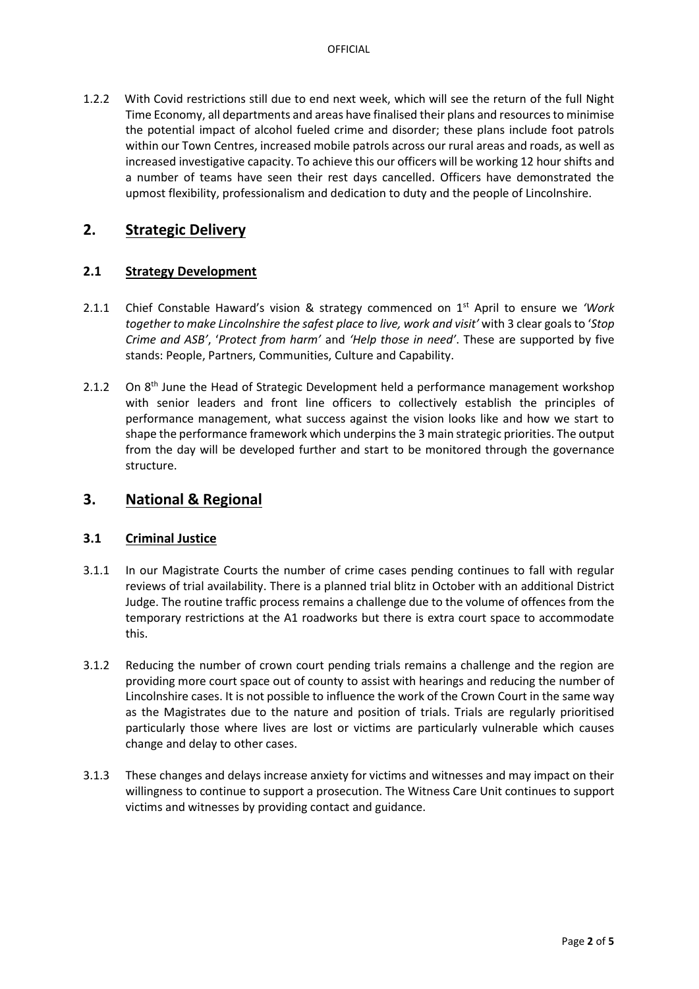1.2.2 With Covid restrictions still due to end next week, which will see the return of the full Night Time Economy, all departments and areas have finalised their plans and resources to minimise the potential impact of alcohol fueled crime and disorder; these plans include foot patrols within our Town Centres, increased mobile patrols across our rural areas and roads, as well as increased investigative capacity. To achieve this our officers will be working 12 hour shifts and a number of teams have seen their rest days cancelled. Officers have demonstrated the upmost flexibility, professionalism and dedication to duty and the people of Lincolnshire.

## **2. Strategic Delivery**

## **2.1 Strategy Development**

- 2.1.1 Chief Constable Haward's vision & strategy commenced on 1st April to ensure we *'Work together to make Lincolnshire the safest place to live, work and visit'* with 3 clear goalsto '*Stop Crime and ASB'*, '*Protect from harm'* and *'Help those in need'*. These are supported by five stands: People, Partners, Communities, Culture and Capability.
- 2.1.2 On  $8<sup>th</sup>$  June the Head of Strategic Development held a performance management workshop with senior leaders and front line officers to collectively establish the principles of performance management, what success against the vision looks like and how we start to shape the performance framework which underpins the 3 main strategic priorities. The output from the day will be developed further and start to be monitored through the governance structure.

## **3. National & Regional**

#### **3.1 Criminal Justice**

- 3.1.1 In our Magistrate Courts the number of crime cases pending continues to fall with regular reviews of trial availability. There is a planned trial blitz in October with an additional District Judge. The routine traffic process remains a challenge due to the volume of offences from the temporary restrictions at the A1 roadworks but there is extra court space to accommodate this.
- 3.1.2 Reducing the number of crown court pending trials remains a challenge and the region are providing more court space out of county to assist with hearings and reducing the number of Lincolnshire cases. It is not possible to influence the work of the Crown Court in the same way as the Magistrates due to the nature and position of trials. Trials are regularly prioritised particularly those where lives are lost or victims are particularly vulnerable which causes change and delay to other cases.
- 3.1.3 These changes and delays increase anxiety for victims and witnesses and may impact on their willingness to continue to support a prosecution. The Witness Care Unit continues to support victims and witnesses by providing contact and guidance.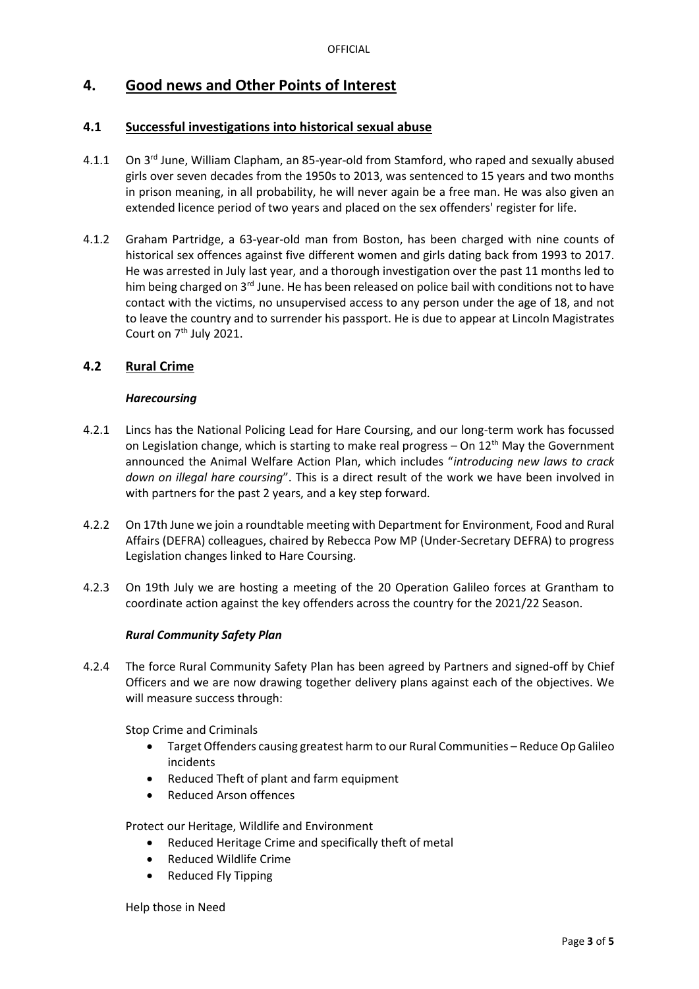# **4. Good news and Other Points of Interest**

## **4.1 Successful investigations into historical sexual abuse**

- 4.1.1 On 3<sup>rd</sup> June, William Clapham, an 85-year-old from Stamford, who raped and sexually abused girls over seven decades from the 1950s to 2013, was sentenced to 15 years and two months in prison meaning, in all probability, he will never again be a free man. He was also given an extended licence period of two years and placed on the sex offenders' register for life.
- 4.1.2 Graham Partridge, a 63-year-old man from Boston, has been charged with nine counts of historical sex offences against five different women and girls dating back from 1993 to 2017. He was arrested in July last year, and a thorough investigation over the past 11 months led to him being charged on 3<sup>rd</sup> June. He has been released on police bail with conditions not to have contact with the victims, no unsupervised access to any person under the age of 18, and not to leave the country and to surrender his passport. He is due to appear at Lincoln Magistrates Court on 7<sup>th</sup> July 2021.

## **4.2 Rural Crime**

#### *Harecoursing*

- 4.2.1 Lincs has the National Policing Lead for Hare Coursing, and our long-term work has focussed on Legislation change, which is starting to make real progress  $-$  On 12<sup>th</sup> May the Government announced the Animal Welfare Action Plan, which includes "*introducing new laws to crack down on illegal hare coursing*". This is a direct result of the work we have been involved in with partners for the past 2 years, and a key step forward.
- 4.2.2 On 17th June we join a roundtable meeting with Department for Environment, Food and Rural Affairs (DEFRA) colleagues, chaired by Rebecca Pow MP (Under-Secretary DEFRA) to progress Legislation changes linked to Hare Coursing.
- 4.2.3 On 19th July we are hosting a meeting of the 20 Operation Galileo forces at Grantham to coordinate action against the key offenders across the country for the 2021/22 Season.

#### *Rural Community Safety Plan*

4.2.4 The force Rural Community Safety Plan has been agreed by Partners and signed-off by Chief Officers and we are now drawing together delivery plans against each of the objectives. We will measure success through:

Stop Crime and Criminals

- Target Offenders causing greatest harm to our Rural Communities Reduce Op Galileo incidents
- Reduced Theft of plant and farm equipment
- Reduced Arson offences

Protect our Heritage, Wildlife and Environment

- Reduced Heritage Crime and specifically theft of metal
- Reduced Wildlife Crime
- Reduced Fly Tipping

Help those in Need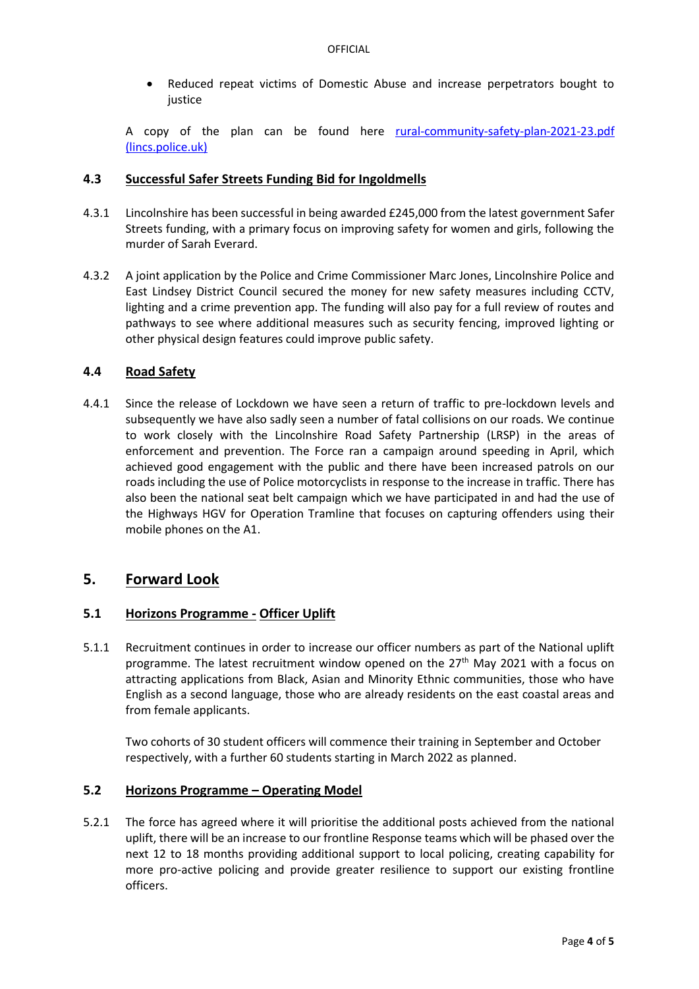• Reduced repeat victims of Domestic Abuse and increase perpetrators bought to justice

A copy of the plan can be found here rural-community-safety-plan-2021-23.pdf [\(lincs.police.uk\)](https://www.lincs.police.uk/media/186203/rural-community-safety-plan-2021-23.pdf)

#### **4.3 Successful Safer Streets Funding Bid for Ingoldmells**

- 4.3.1 Lincolnshire has been successful in being awarded £245,000 from the latest government Safer Streets funding, with a primary focus on improving safety for women and girls, following the murder of Sarah Everard.
- 4.3.2 A joint application by the Police and Crime Commissioner Marc Jones, Lincolnshire Police and East Lindsey District Council secured the money for new safety measures including CCTV, lighting and a crime prevention app. The funding will also pay for a full review of routes and pathways to see where additional measures such as security fencing, improved lighting or other physical design features could improve public safety.

#### **4.4 Road Safety**

4.4.1 Since the release of Lockdown we have seen a return of traffic to pre-lockdown levels and subsequently we have also sadly seen a number of fatal collisions on our roads. We continue to work closely with the Lincolnshire Road Safety Partnership (LRSP) in the areas of enforcement and prevention. The Force ran a campaign around speeding in April, which achieved good engagement with the public and there have been increased patrols on our roads including the use of Police motorcyclists in response to the increase in traffic. There has also been the national seat belt campaign which we have participated in and had the use of the Highways HGV for Operation Tramline that focuses on capturing offenders using their mobile phones on the A1.

## **5. Forward Look**

## **5.1 Horizons Programme - Officer Uplift**

5.1.1 Recruitment continues in order to increase our officer numbers as part of the National uplift programme. The latest recruitment window opened on the 27<sup>th</sup> May 2021 with a focus on attracting applications from Black, Asian and Minority Ethnic communities, those who have English as a second language, those who are already residents on the east coastal areas and from female applicants.

Two cohorts of 30 student officers will commence their training in September and October respectively, with a further 60 students starting in March 2022 as planned.

#### **5.2 Horizons Programme – Operating Model**

5.2.1 The force has agreed where it will prioritise the additional posts achieved from the national uplift, there will be an increase to our frontline Response teams which will be phased over the next 12 to 18 months providing additional support to local policing, creating capability for more pro-active policing and provide greater resilience to support our existing frontline officers.